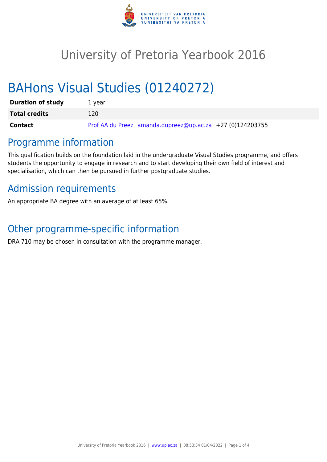

# University of Pretoria Yearbook 2016

# BAHons Visual Studies (01240272)

| <b>Duration of study</b> | 1 vear                                                      |
|--------------------------|-------------------------------------------------------------|
| <b>Total credits</b>     | 120                                                         |
| Contact                  | Prof AA du Preez amanda.dupreez@up.ac.za $+27$ (0)124203755 |

## Programme information

This qualification builds on the foundation laid in the undergraduate Visual Studies programme, and offers students the opportunity to engage in research and to start developing their own field of interest and specialisation, which can then be pursued in further postgraduate studies.

# Admission requirements

An appropriate BA degree with an average of at least 65%.

# Other programme-specific information

DRA 710 may be chosen in consultation with the programme manager.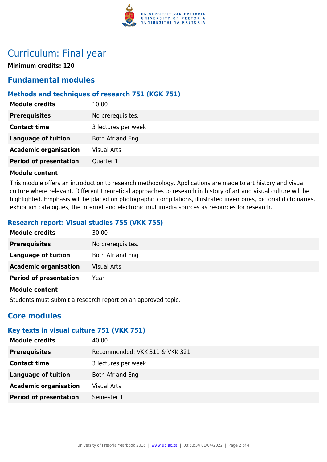

# Curriculum: Final year

**Minimum credits: 120**

### **Fundamental modules**

#### **Methods and techniques of research 751 (KGK 751)**

| <b>Module credits</b>         | 10.00               |
|-------------------------------|---------------------|
| <b>Prerequisites</b>          | No prerequisites.   |
| <b>Contact time</b>           | 3 lectures per week |
| <b>Language of tuition</b>    | Both Afr and Eng    |
| <b>Academic organisation</b>  | Visual Arts         |
| <b>Period of presentation</b> | Quarter 1           |

#### **Module content**

This module offers an introduction to research methodology. Applications are made to art history and visual culture where relevant. Different theoretical approaches to research in history of art and visual culture will be highlighted. Emphasis will be placed on photographic compilations, illustrated inventories, pictorial dictionaries, exhibition catalogues, the internet and electronic multimedia sources as resources for research.

#### **Research report: Visual studies 755 (VKK 755)**

| 30.00              |
|--------------------|
| No prerequisites.  |
| Both Afr and Eng   |
| <b>Visual Arts</b> |
| Year               |
|                    |

#### **Module content**

Students must submit a research report on an approved topic.

### **Core modules**

#### **Key texts in visual culture 751 (VKK 751)**

| <b>Module credits</b>         | 40.00                          |
|-------------------------------|--------------------------------|
| <b>Prerequisites</b>          | Recommended: VKK 311 & VKK 321 |
| <b>Contact time</b>           | 3 lectures per week            |
| <b>Language of tuition</b>    | Both Afr and Eng               |
| <b>Academic organisation</b>  | Visual Arts                    |
| <b>Period of presentation</b> | Semester 1                     |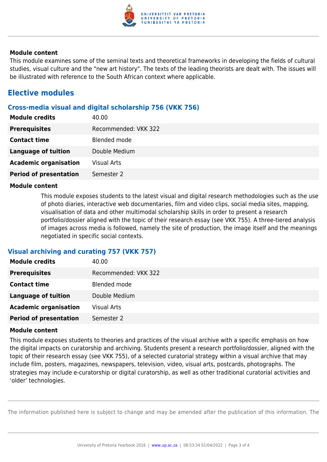

#### **Module content**

This module examines some of the seminal texts and theoretical frameworks in developing the fields of cultural studies, visual culture and the "new art history". The texts of the leading theorists are dealt with. The issues will be illustrated with reference to the South African context where applicable.

### **Elective modules**

#### **Cross-media visual and digital scholarship 756 (VKK 756)**

| <b>Module credits</b>         | 40.00                |
|-------------------------------|----------------------|
| <b>Prerequisites</b>          | Recommended: VKK 322 |
| <b>Contact time</b>           | Blended mode         |
| <b>Language of tuition</b>    | Double Medium        |
| <b>Academic organisation</b>  | <b>Visual Arts</b>   |
| <b>Period of presentation</b> | Semester 2           |

#### **Module content**

This module exposes students to the latest visual and digital research methodologies such as the use of photo diaries, interactive web documentaries, film and video clips, social media sites, mapping, visualisation of data and other multimodal scholarship skills in order to present a research portfolio/dossier aligned with the topic of their research essay (see VKK 755). A three-tiered analysis of images across media is followed, namely the site of production, the image itself and the meanings negotiated in specific social contexts.

#### **Visual archiving and curating 757 (VKK 757)**

| <b>Module credits</b>         | 40.00                |
|-------------------------------|----------------------|
| <b>Prerequisites</b>          | Recommended: VKK 322 |
| <b>Contact time</b>           | Blended mode         |
| <b>Language of tuition</b>    | Double Medium        |
| <b>Academic organisation</b>  | <b>Visual Arts</b>   |
| <b>Period of presentation</b> | Semester 2           |

#### **Module content**

This module exposes students to theories and practices of the visual archive with a specific emphasis on how the digital impacts on curatorship and archiving. Students present a research portfolio/dossier, aligned with the topic of their research essay (see VKK 755), of a selected curatorial strategy within a visual archive that may include film, posters, magazines, newspapers, television, video, visual arts, postcards, photographs. The strategies may include e-curatorship or digital curatorship, as well as other traditional curatorial activities and 'older' technologies.

The information published here is subject to change and may be amended after the publication of this information. The